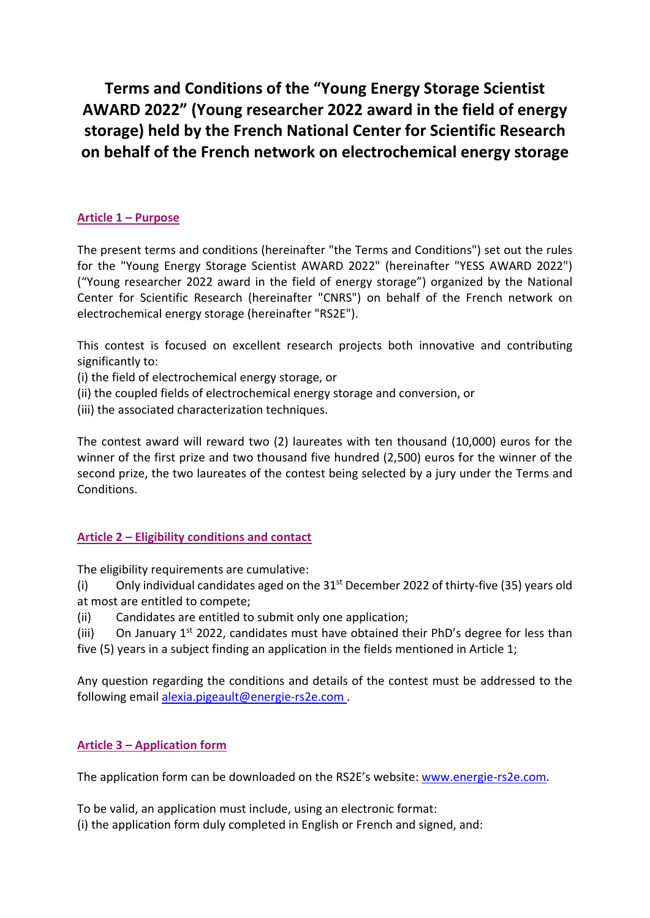**Terms and Conditions of the "Young Energy Storage Scientist AWARD 2022" (Young researcher 2022 award in the field of energy storage) held by the French National Center for Scientific Research on behalf of the French network on electrochemical energy storage**

# **Article 1 – Purpose**

The present terms and conditions (hereinafter "the Terms and Conditions") set out the rules for the "Young Energy Storage Scientist AWARD 2022" (hereinafter "YESS AWARD 2022") ("Young researcher 2022 award in the field of energy storage") organized by the National Center for Scientific Research (hereinafter "CNRS") on behalf of the French network on electrochemical energy storage (hereinafter "RS2E").

This contest is focused on excellent research projects both innovative and contributing significantly to:

(i) the field of electrochemical energy storage, or

(ii) the coupled fields of electrochemical energy storage and conversion, or

(iii) the associated characterization techniques.

The contest award will reward two (2) laureates with ten thousand (10,000) euros for the winner of the first prize and two thousand five hundred (2,500) euros for the winner of the second prize, the two laureates of the contest being selected by a jury under the Terms and Conditions.

### **Article 2 – Eligibility conditions and contact**

The eligibility requirements are cumulative:

(i) Only individual candidates aged on the  $31<sup>st</sup>$  December 2022 of thirty-five (35) years old at most are entitled to compete;

(ii) Candidates are entitled to submit only one application;

(iii) On January  $1^{st}$  2022, candidates must have obtained their PhD's degree for less than five (5) years in a subject finding an application in the fields mentioned in Article 1;

Any question regarding the conditions and details of the contest must be addressed to the following email [alexia.pigeault@energie-rs2e.com](mailto:alexia.pigeault@energie-rs2e.com) .

# **Article 3 – Application form**

The application form can be downloaded on the RS2E's website: [www.energie-rs2e.com.](http://www.energie-rs2e.com/)

To be valid, an application must include, using an electronic format: (i) the application form duly completed in English or French and signed, and: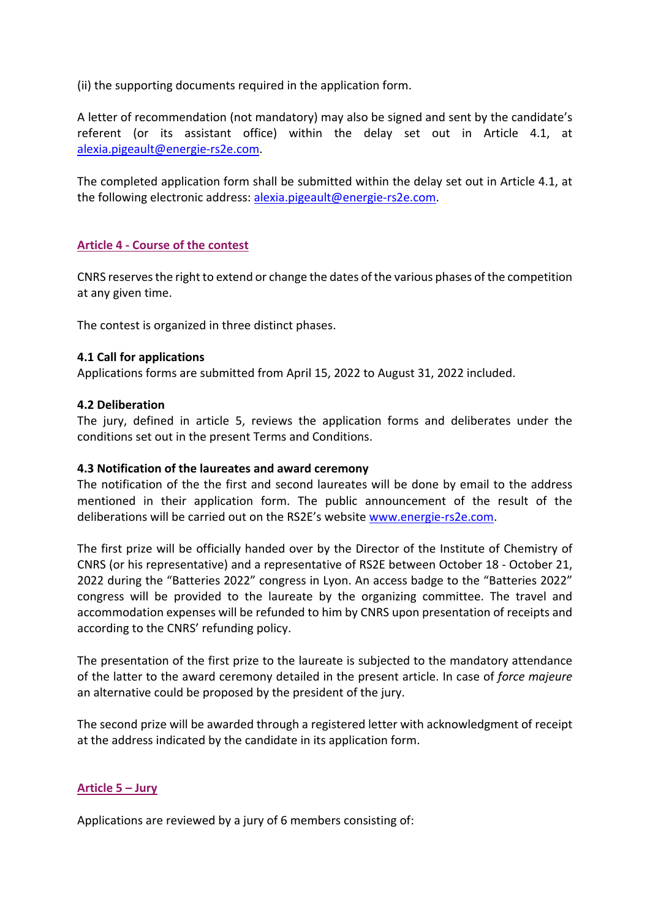(ii) the supporting documents required in the application form.

A letter of recommendation (not mandatory) may also be signed and sent by the candidate's referent (or its assistant office) within the delay set out in Article 4.1, at [alexia.pigeault@energie-rs2e.com.](mailto:alexia.pigeault@energie-rs2e.com)

The completed application form shall be submitted within the delay set out in Article 4.1, at the following electronic address: [alexia.pigeault@energie-rs2e.com.](mailto:alexia.pigeault@energie-rs2e.com)

### **Article 4 - Course of the contest**

CNRS reserves the right to extend or change the dates of the various phases of the competition at any given time.

The contest is organized in three distinct phases.

#### **4.1 Call for applications**

Applications forms are submitted from April 15, 2022 to August 31, 2022 included.

#### **4.2 Deliberation**

The jury, defined in article 5, reviews the application forms and deliberates under the conditions set out in the present Terms and Conditions.

#### **4.3 Notification of the laureates and award ceremony**

The notification of the the first and second laureates will be done by email to the address mentioned in their application form. The public announcement of the result of the deliberations will be carried out on the RS2E's website [www.energie-rs2e.com.](http://www.energie-rs2e.com/)

The first prize will be officially handed over by the Director of the Institute of Chemistry of CNRS (or his representative) and a representative of RS2E between October 18 - October 21, 2022 during the "Batteries 2022" congress in Lyon. An access badge to the "Batteries 2022" congress will be provided to the laureate by the organizing committee. The travel and accommodation expenses will be refunded to him by CNRS upon presentation of receipts and according to the CNRS' refunding policy.

The presentation of the first prize to the laureate is subjected to the mandatory attendance of the latter to the award ceremony detailed in the present article. In case of *force majeure* an alternative could be proposed by the president of the jury.

The second prize will be awarded through a registered letter with acknowledgment of receipt at the address indicated by the candidate in its application form.

#### **Article 5 – Jury**

Applications are reviewed by a jury of 6 members consisting of: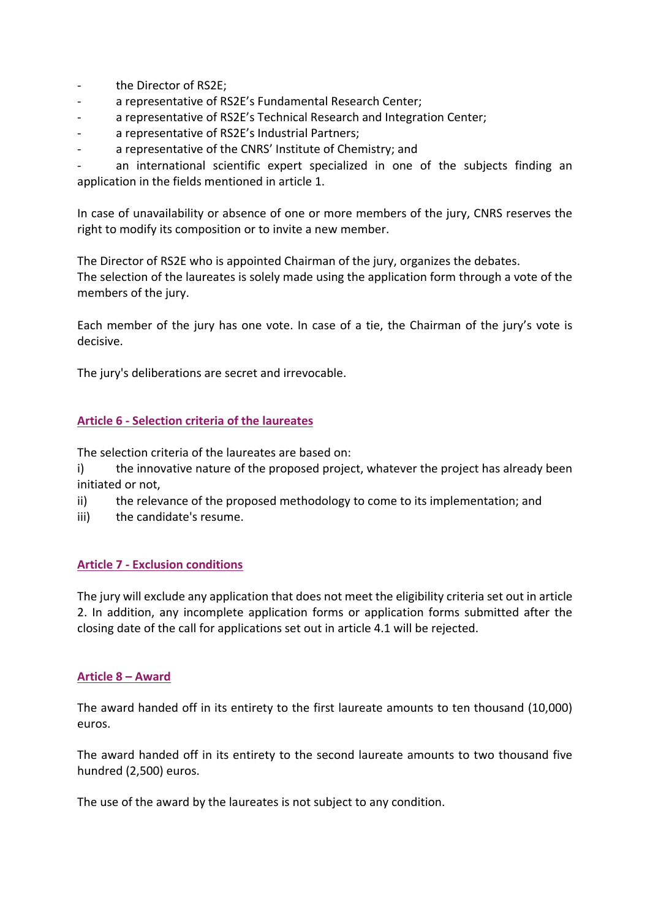- the Director of RS2E;
- a representative of RS2E's Fundamental Research Center;
- a representative of RS2E's Technical Research and Integration Center;
- a representative of RS2E's Industrial Partners;
- a representative of the CNRS' Institute of Chemistry; and

an international scientific expert specialized in one of the subjects finding an application in the fields mentioned in article 1.

In case of unavailability or absence of one or more members of the jury, CNRS reserves the right to modify its composition or to invite a new member.

The Director of RS2E who is appointed Chairman of the jury, organizes the debates. The selection of the laureates is solely made using the application form through a vote of the members of the jury.

Each member of the jury has one vote. In case of a tie, the Chairman of the jury's vote is decisive.

The jury's deliberations are secret and irrevocable.

#### **Article 6 - Selection criteria of the laureates**

The selection criteria of the laureates are based on:

i) the innovative nature of the proposed project, whatever the project has already been initiated or not,

- ii) the relevance of the proposed methodology to come to its implementation; and
- iii) the candidate's resume.

#### **Article 7 - Exclusion conditions**

The jury will exclude any application that does not meet the eligibility criteria set out in article 2. In addition, any incomplete application forms or application forms submitted after the closing date of the call for applications set out in article 4.1 will be rejected.

#### **Article 8 – Award**

The award handed off in its entirety to the first laureate amounts to ten thousand (10,000) euros.

The award handed off in its entirety to the second laureate amounts to two thousand five hundred (2,500) euros.

The use of the award by the laureates is not subject to any condition.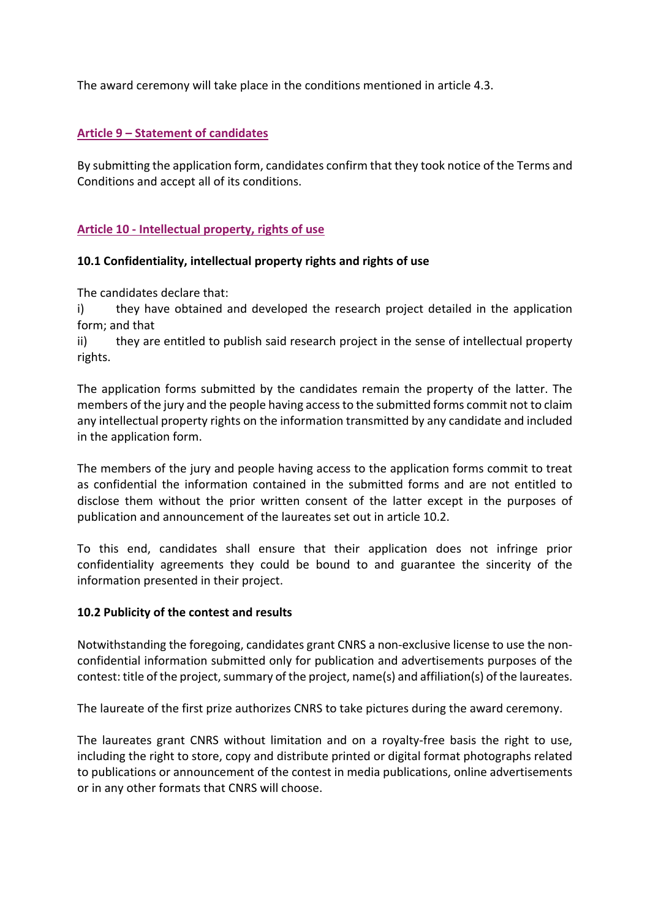The award ceremony will take place in the conditions mentioned in article 4.3.

### **Article 9 – Statement of candidates**

By submitting the application form, candidates confirm that they took notice of the Terms and Conditions and accept all of its conditions.

### **Article 10 - Intellectual property, rights of use**

#### **10.1 Confidentiality, intellectual property rights and rights of use**

The candidates declare that:

i) they have obtained and developed the research project detailed in the application form; and that

ii) they are entitled to publish said research project in the sense of intellectual property rights.

The application forms submitted by the candidates remain the property of the latter. The members of the jury and the people having access to the submitted forms commit not to claim any intellectual property rights on the information transmitted by any candidate and included in the application form.

The members of the jury and people having access to the application forms commit to treat as confidential the information contained in the submitted forms and are not entitled to disclose them without the prior written consent of the latter except in the purposes of publication and announcement of the laureates set out in article 10.2.

To this end, candidates shall ensure that their application does not infringe prior confidentiality agreements they could be bound to and guarantee the sincerity of the information presented in their project.

#### **10.2 Publicity of the contest and results**

Notwithstanding the foregoing, candidates grant CNRS a non-exclusive license to use the nonconfidential information submitted only for publication and advertisements purposes of the contest: title of the project, summary of the project, name(s) and affiliation(s) of the laureates.

The laureate of the first prize authorizes CNRS to take pictures during the award ceremony.

The laureates grant CNRS without limitation and on a royalty-free basis the right to use, including the right to store, copy and distribute printed or digital format photographs related to publications or announcement of the contest in media publications, online advertisements or in any other formats that CNRS will choose.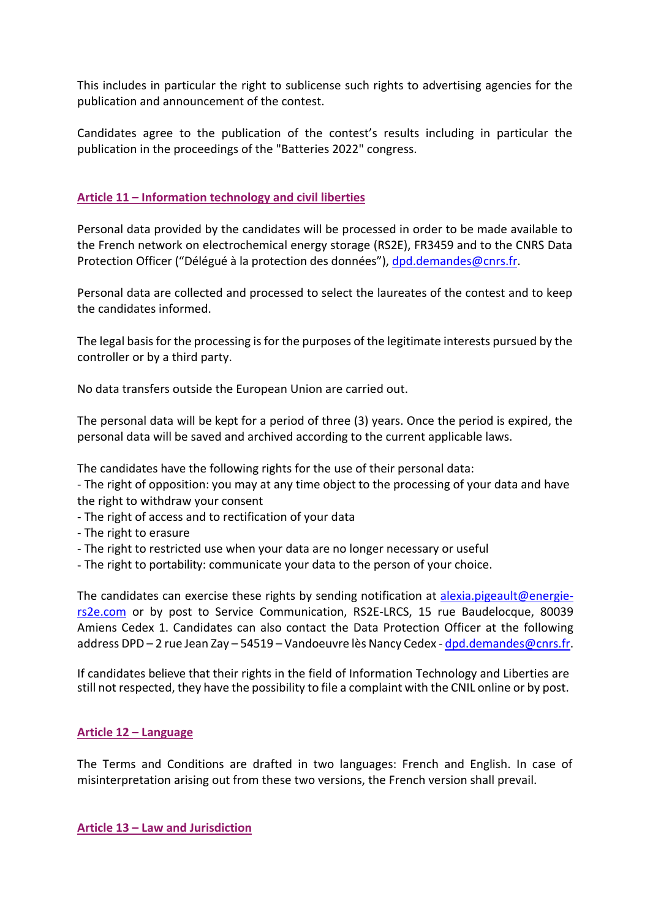This includes in particular the right to sublicense such rights to advertising agencies for the publication and announcement of the contest.

Candidates agree to the publication of the contest's results including in particular the publication in the proceedings of the "Batteries 2022" congress.

## **Article 11 – Information technology and civil liberties**

Personal data provided by the candidates will be processed in order to be made available to the French network on electrochemical energy storage (RS2E), FR3459 and to the CNRS Data Protection Officer ("Délégué à la protection des données"), [dpd.demandes@cnrs.fr.](mailto:dpd.demandes@cnrs.fr)

Personal data are collected and processed to select the laureates of the contest and to keep the candidates informed.

The legal basis for the processing is for the purposes of the legitimate interests pursued by the controller or by a third party.

No data transfers outside the European Union are carried out.

The personal data will be kept for a period of three (3) years. Once the period is expired, the personal data will be saved and archived according to the current applicable laws.

The candidates have the following rights for the use of their personal data:

- The right of opposition: you may at any time object to the processing of your data and have the right to withdraw your consent

- The right of access and to rectification of your data
- The right to erasure
- The right to restricted use when your data are no longer necessary or useful
- The right to portability: communicate your data to the person of your choice.

The candidates can exercise these rights by sending notification at [alexia.pigeault@energie](mailto:alexia.pigeault@energie-rs2e.com)[rs2e.com](mailto:alexia.pigeault@energie-rs2e.com) or by post to Service Communication, RS2E-LRCS, 15 rue Baudelocque, 80039 Amiens Cedex 1. Candidates can also contact the Data Protection Officer at the following address DPD – 2 rue Jean Zay – 54519 – Vandoeuvre lès Nancy Cedex [- dpd.demandes@cnrs.fr.](mailto:dpd.demandes@cnrs.fr)

If candidates believe that their rights in the field of Information Technology and Liberties are still not respected, they have the possibility to file a complaint with the CNIL online or by post.

### **Article 12 – Language**

The Terms and Conditions are drafted in two languages: French and English. In case of misinterpretation arising out from these two versions, the French version shall prevail.

**Article 13 – Law and Jurisdiction**